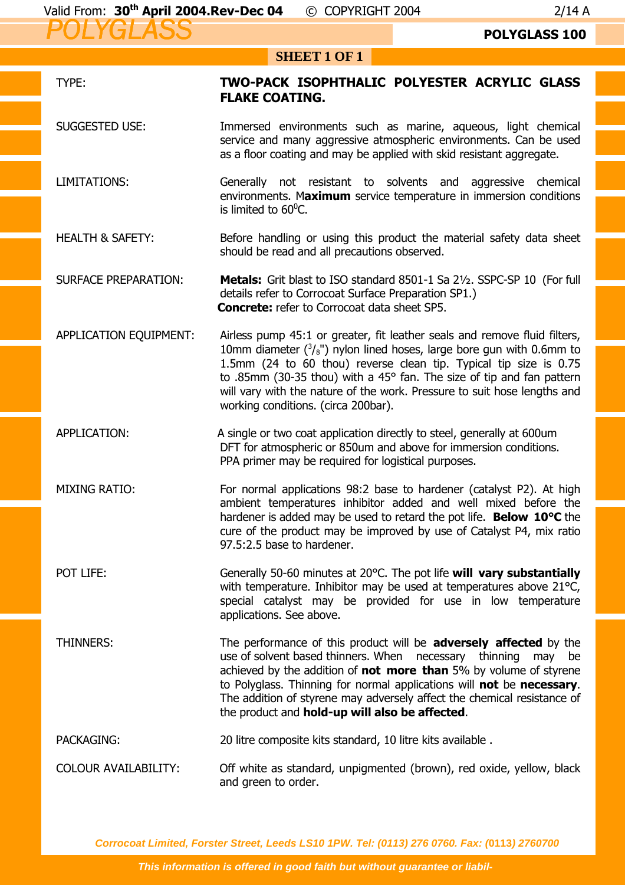## **POLYGLASS 100**

## **SHEET 1 OF 1**

| TYPE:                       | TWO-PACK ISOPHTHALIC POLYESTER ACRYLIC GLASS<br><b>FLAKE COATING.</b>                                                                                                                                                                                                                                                                                                                                                        |  |
|-----------------------------|------------------------------------------------------------------------------------------------------------------------------------------------------------------------------------------------------------------------------------------------------------------------------------------------------------------------------------------------------------------------------------------------------------------------------|--|
| <b>SUGGESTED USE:</b>       | Immersed environments such as marine, aqueous, light chemical<br>service and many aggressive atmospheric environments. Can be used<br>as a floor coating and may be applied with skid resistant aggregate.                                                                                                                                                                                                                   |  |
| <b>LIMITATIONS:</b>         | Generally not resistant to solvents and aggressive chemical<br>environments. Maximum service temperature in immersion conditions<br>is limited to $60^{\circ}$ C.                                                                                                                                                                                                                                                            |  |
| <b>HEALTH &amp; SAFETY:</b> | Before handling or using this product the material safety data sheet<br>should be read and all precautions observed.                                                                                                                                                                                                                                                                                                         |  |
| <b>SURFACE PREPARATION:</b> | Metals: Grit blast to ISO standard 8501-1 Sa 21/2. SSPC-SP 10 (For full<br>details refer to Corrocoat Surface Preparation SP1.)<br><b>Concrete:</b> refer to Corrocoat data sheet SP5.                                                                                                                                                                                                                                       |  |
| APPLICATION EQUIPMENT:      | Airless pump 45:1 or greater, fit leather seals and remove fluid filters,<br>10mm diameter $(^3/s$ ") nylon lined hoses, large bore gun with 0.6mm to<br>1.5mm (24 to 60 thou) reverse clean tip. Typical tip size is 0.75<br>to .85mm (30-35 thou) with a 45° fan. The size of tip and fan pattern<br>will vary with the nature of the work. Pressure to suit hose lengths and<br>working conditions. (circa 200bar).       |  |
| APPLICATION:                | A single or two coat application directly to steel, generally at 600um<br>DFT for atmospheric or 850um and above for immersion conditions.<br>PPA primer may be required for logistical purposes.                                                                                                                                                                                                                            |  |
| <b>MIXING RATIO:</b>        | For normal applications 98:2 base to hardener (catalyst P2). At high<br>ambient temperatures inhibitor added and well mixed before the<br>hardener is added may be used to retard the pot life. Below 10°C the<br>cure of the product may be improved by use of Catalyst P4, mix ratio<br>97.5:2.5 base to hardener.                                                                                                         |  |
| POT LIFE:                   | Generally 50-60 minutes at 20°C. The pot life will vary substantially<br>with temperature. Inhibitor may be used at temperatures above 21°C,<br>special catalyst may be provided for use in low temperature<br>applications. See above.                                                                                                                                                                                      |  |
| <b>THINNERS:</b>            | The performance of this product will be adversely affected by the<br>use of solvent based thinners. When necessary thinning may be<br>achieved by the addition of <b>not more than</b> 5% by volume of styrene<br>to Polyglass. Thinning for normal applications will not be necessary.<br>The addition of styrene may adversely affect the chemical resistance of<br>the product and <b>hold-up will also be affected</b> . |  |
| PACKAGING:                  | 20 litre composite kits standard, 10 litre kits available.                                                                                                                                                                                                                                                                                                                                                                   |  |
| <b>COLOUR AVAILABILITY:</b> | Off white as standard, unpigmented (brown), red oxide, yellow, black<br>and green to order.                                                                                                                                                                                                                                                                                                                                  |  |

**Corrocoat Limited, Forster Street, Leeds LS10 1PW. Tel: (0113) 276 0760. Fax: (0113) 2760700**